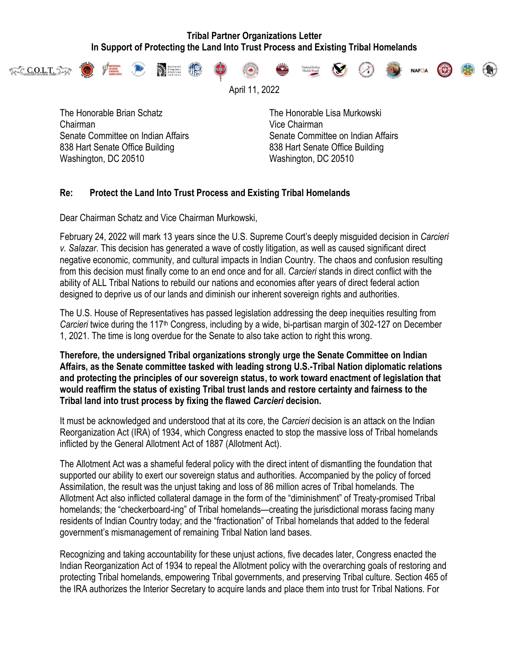## **Tribal Partner Organizations Letter In Support of Protecting the Land Into Trust Process and Existing Tribal Homelands**



April 11, 2022

The Honorable Brian Schatz The Honorable Lisa Murkowski Chairman Vice Chairman 838 Hart Senate Office Building 838 Hart Senate Office Building Washington, DC 20510 Washington, DC 20510

Senate Committee on Indian Affairs Senate Committee on Indian Affairs Senate Committee on Indian Affairs

## **Re: Protect the Land Into Trust Process and Existing Tribal Homelands**

Dear Chairman Schatz and Vice Chairman Murkowski,

February 24, 2022 will mark 13 years since the U.S. Supreme Court's deeply misguided decision in *Carcieri v. Salazar*. This decision has generated a wave of costly litigation, as well as caused significant direct negative economic, community, and cultural impacts in Indian Country. The chaos and confusion resulting from this decision must finally come to an end once and for all. *Carcieri* stands in direct conflict with the ability of ALL Tribal Nations to rebuild our nations and economies after years of direct federal action designed to deprive us of our lands and diminish our inherent sovereign rights and authorities.

The U.S. House of Representatives has passed legislation addressing the deep inequities resulting from *Carcieri* twice during the 117th Congress, including by a wide, bi-partisan margin of 302-127 on December 1, 2021. The time is long overdue for the Senate to also take action to right this wrong.

**Therefore, the undersigned Tribal organizations strongly urge the Senate Committee on Indian Affairs, as the Senate committee tasked with leading strong U.S.-Tribal Nation diplomatic relations and protecting the principles of our sovereign status, to work toward enactment of legislation that would reaffirm the status of existing Tribal trust lands and restore certainty and fairness to the Tribal land into trust process by fixing the flawed** *Carcieri* **decision.**

It must be acknowledged and understood that at its core, the *Carcieri* decision is an attack on the Indian Reorganization Act (IRA) of 1934, which Congress enacted to stop the massive loss of Tribal homelands inflicted by the General Allotment Act of 1887 (Allotment Act).

The Allotment Act was a shameful federal policy with the direct intent of dismantling the foundation that supported our ability to exert our sovereign status and authorities. Accompanied by the policy of forced Assimilation, the result was the unjust taking and loss of 86 million acres of Tribal homelands. The Allotment Act also inflicted collateral damage in the form of the "diminishment" of Treaty-promised Tribal homelands; the "checkerboard-ing" of Tribal homelands—creating the jurisdictional morass facing many residents of Indian Country today; and the "fractionation" of Tribal homelands that added to the federal government's mismanagement of remaining Tribal Nation land bases.

Recognizing and taking accountability for these unjust actions, five decades later, Congress enacted the Indian Reorganization Act of 1934 to repeal the Allotment policy with the overarching goals of restoring and protecting Tribal homelands, empowering Tribal governments, and preserving Tribal culture. Section 465 of the IRA authorizes the Interior Secretary to acquire lands and place them into trust for Tribal Nations. For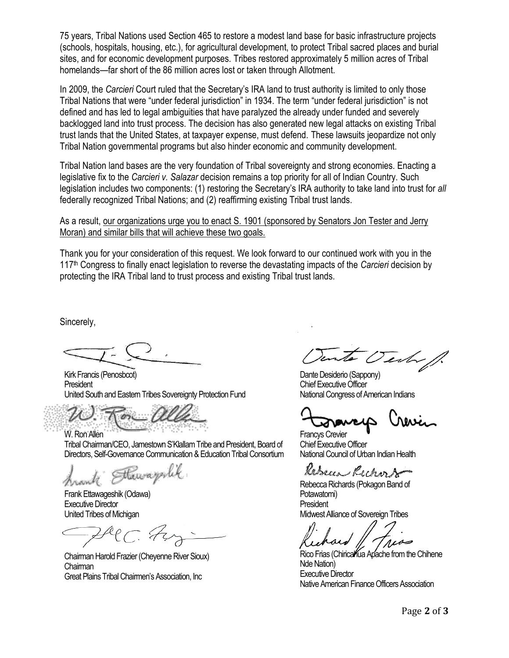75 years, Tribal Nations used Section 465 to restore a modest land base for basic infrastructure projects (schools, hospitals, housing, etc.), for agricultural development, to protect Tribal sacred places and burial sites, and for economic development purposes. Tribes restored approximately 5 million acres of Tribal homelands—far short of the 86 million acres lost or taken through Allotment.

In 2009, the *Carcieri* Court ruled that the Secretary's IRA land to trust authority is limited to only those Tribal Nations that were "under federal jurisdiction" in 1934. The term "under federal jurisdiction" is not defined and has led to legal ambiguities that have paralyzed the already under funded and severely backlogged land into trust process. The decision has also generated new legal attacks on existing Tribal trust lands that the United States, at taxpayer expense, must defend. These lawsuits jeopardize not only Tribal Nation governmental programs but also hinder economic and community development.

Tribal Nation land bases are the very foundation of Tribal sovereignty and strong economies. Enacting a legislative fix to the *Carcieri v. Salazar* decision remains a top priority for all of Indian Country. Such legislation includes two components: (1) restoring the Secretary's IRA authority to take land into trust for *all* federally recognized Tribal Nations; and (2) reaffirming existing Tribal trust lands.

As a result, our organizations urge you to enact S. 1901 (sponsored by Senators Jon Tester and Jerry Moran) and similar bills that will achieve these two goals.

Thank you for your consideration of this request. We look forward to our continued work with you in the 117 th Congress to finally enact legislation to reverse the devastating impacts of the *Carcieri* decision by protecting the IRA Tribal land to trust process and existing Tribal trust lands.

Sincerely,

Kirk Francis (Penosbcot) **President** United South and Eastern Tribes Sovereignty Protection Fund

W. Ron Allen Tribal Chairman/CEO, Jamestown S'Klallam Tribe and President, Board of Directors, Self-Governance Communication & Education Tribal Consortium

Hawayerlik

Frank Ettawageshik (Odawa) Executive Director United Tribes of Michigan

Chairman Harold Frazier (Cheyenne River Sioux) **Chairman** Great Plains Tribal Chairmen's Association, Inc

 $2\sqrt{2}$ 

Dante Desiderio (Sappony) Chief Executive Officer National Congress of American Indians

Francys Crevier Chief Executive Officer National Council of Urban Indian Health

Kebecca Rechard

Rebecca Richards (Pokagon Band of Potawatomi) President Midwest Alliance of Sovereign Tribes

Rico Frias (Chiricalfua Apache from the Chihene Nde Nation) Executive Director Native American Finance Officers Association